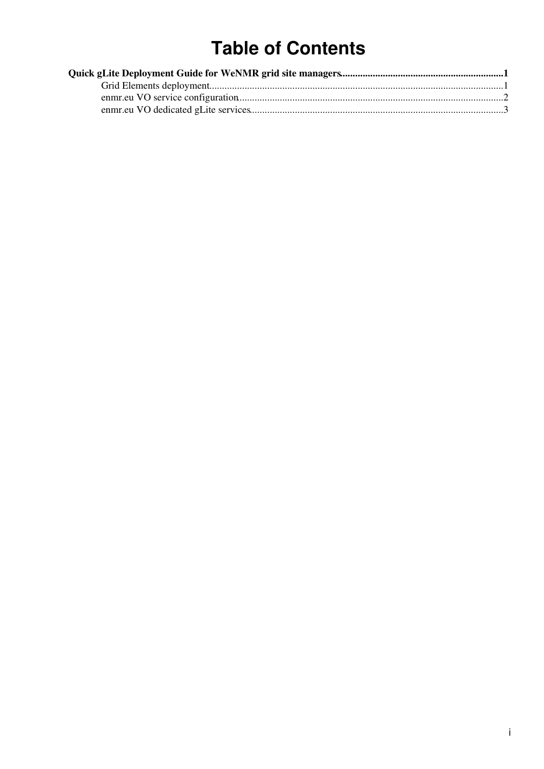# **Table of Contents**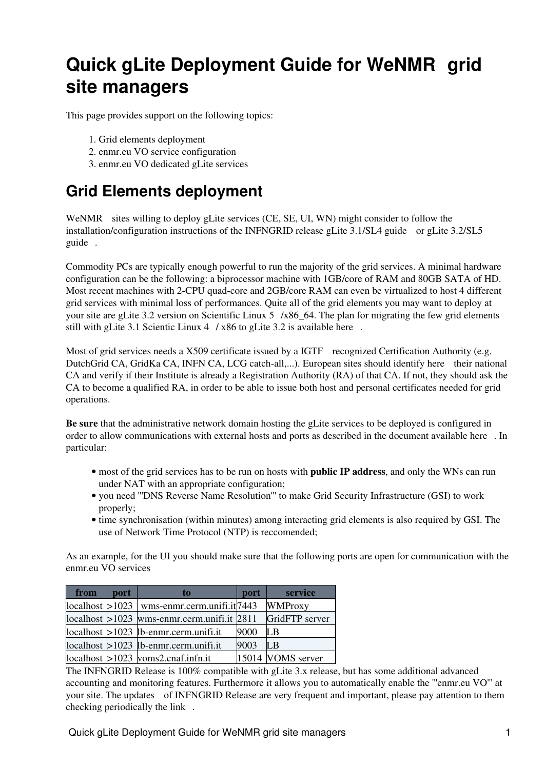## <span id="page-1-0"></span>**Quick gLite Deployment Guide for [WeNMR](http://www.wenmr.eu) grid site managers**

This page provides support on the following topics:

- 1. Grid elements deployment
- 2. enmr.eu VO service configuration
- 3. enmr.eu VO dedicated gLite services

## <span id="page-1-1"></span>**Grid Elements deployment**

[WeNMR](http://www.wenmr.eu) sites willing to deploy gLite services (CE, SE, UI, WN) might consider to follow the installation/configuration instructions of the INFNGRID release [gLite 3.1/SL4 guide](http://igrelease.forge.cnaf.infn.it/doku.php?id=doc:guides:install-3_1) or [gLite 3.2/SL5](http://igrelease.forge.cnaf.infn.it/doku.php?id=doc:guides:install-3_2) [guide](http://igrelease.forge.cnaf.infn.it/doku.php?id=doc:guides:install-3_2) .

Commodity PCs are typically enough powerful to run the majority of the grid services. A minimal hardware configuration can be the following: a biprocessor machine with 1GB/core of RAM and 80GB SATA of HD. Most recent machines with 2-CPU quad-core and 2GB/core RAM can even be virtualized to host 4 different grid services with minimal loss of performances. Quite all of the grid elements you may want to deploy at your site are gLite 3.2 version on Scientific Linux  $5 /x86/64$ . The plan for migrating the few grid elements still with gLite 3.1 [Scientic Linux 4](https://www.scientificlinux.org/distributions/4x/) / x86 to gLite 3.2 is available [here](https://twiki.cern.ch/twiki//bin/view/EGEE/SL5Planning).

Most of grid services needs a X509 certificate issued by a [IGTF](http://www.igtf.net/) recognized Certification Authority (e.g. [DutchGrid](https://wiki-igi.cnaf.infn.it/twiki/bin/edit/WeNMR/DutchGrid?topicparent=WeNMR.QuickGLiteDeploymentGuide;nowysiwyg=0) CA, [GridKa](https://wiki-igi.cnaf.infn.it/twiki/bin/edit/WeNMR/GridKa?topicparent=WeNMR.QuickGLiteDeploymentGuide;nowysiwyg=0) CA, INFN CA, LCG catch-all,...). European sites should identify [here](http://eugridpma.org/members/worldmap/) their national CA and verify if their Institute is already a Registration Authority (RA) of that CA. If not, they should ask the CA to become a qualified RA, in order to be able to issue both host and personal certificates needed for grid operations.

**Be sure** that the administrative network domain hosting the gLite services to be deployed is configured in order to allow communications with external hosts and ports as described in the document available [here](https://twiki.cern.ch/twiki/bin/view/LCG/LCGPortTable#The_middleware_port_list) . In particular:

- most of the grid services has to be run on hosts with **public IP address**, and only the WNs can run under NAT with an appropriate configuration;
- you need '''DNS Reverse Name Resolution''' to make Grid Security Infrastructure (GSI) to work properly;
- time synchronisation (within minutes) among interacting grid elements is also required by GSI. The use of Network Time Protocol (NTP) is reccomended;

As an example, for the UI you should make sure that the following ports are open for communication with the enmr.eu VO services

| from | port | to                                                       | port | service           |
|------|------|----------------------------------------------------------|------|-------------------|
|      |      | $\alpha$ localhost $>1023$   wms-enmr.cerm.unifi.it 7443 |      | <b>WMProxy</b>    |
|      |      | $localhost > 1023$ wms-enmr.cerm.unifi.it 2811           |      | GridFTP server    |
|      |      | $\alpha$ localhost >1023  lb-enmr.cerm.unifi.it          | 9000 | LB                |
|      |      | $\alpha$ localhost $>1023$  lb-enmr.cerm.unifi.it        | 9003 | LB                |
|      |      | $\alpha$ localhost $>1023$ voms2.cnaf.infn.it            |      | 15014 VOMS server |

The INFNGRID Release is 100% compatible with gLite 3.x release, but has some additional advanced accounting and monitoring features. Furthermore it allows you to automatically enable the '''enmr.eu VO''' at your site. The [updates](http://igrelease.forge.cnaf.infn.it/doku.php?id=doc:updates:start) of INFNGRID Release are very frequent and important, please pay attention to them checking periodically the [link](http://igrelease.forge.cnaf.infn.it/doku.php?id=doc:updates:start) .

Quick gLite Deployment Guide for WeNMR grid site managers 1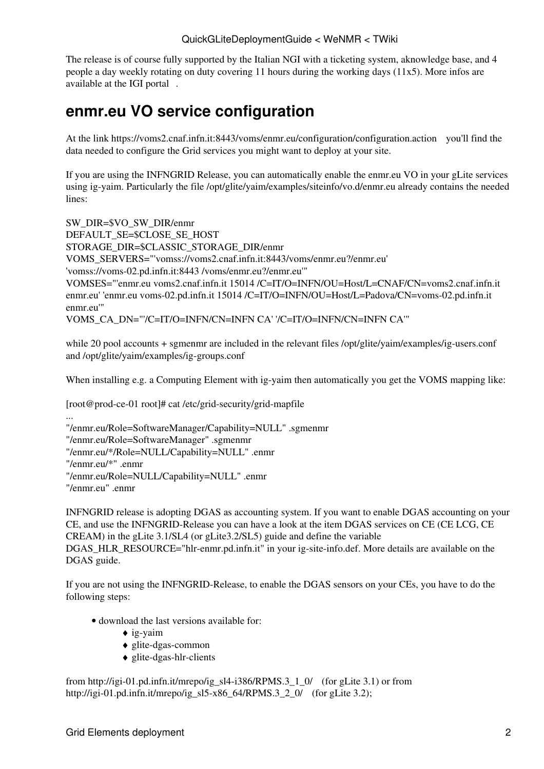The release is of course fully supported by the Italian NGI with a ticketing system, aknowledge base, and 4 people a day weekly rotating on duty covering 11 hours during the working days (11x5). More infos are available at the [IGI portal](http://www.italiangrid.it/) .

### <span id="page-2-0"></span>**enmr.eu VO service configuration**

At the link <https://voms2.cnaf.infn.it:8443/voms/enmr.eu/configuration/configuration.action> you'll find the data needed to configure the Grid services you might want to deploy at your site.

If you are using the INFNGRID Release, you can automatically enable the enmr.eu VO in your gLite services using ig-yaim. Particularly the file /opt/glite/yaim/examples/siteinfo/vo.d/enmr.eu already contains the needed lines:

SW\_DIR=\$VO\_SW\_DIR/enmr DEFAULT\_SE=\$CLOSE\_SE\_HOST STORAGE\_DIR=\$CLASSIC\_STORAGE\_DIR/enmr VOMS\_SERVERS="'vomss://voms2.cnaf.infn.it:8443/voms/enmr.eu?/enmr.eu' 'vomss://voms-02.pd.infn.it:8443 /voms/enmr.eu?/enmr.eu'" VOMSES="'enmr.eu voms2.cnaf.infn.it 15014 /C=IT/O=INFN/OU=Host/L=CNAF/CN=voms2.cnaf.infn.it enmr.eu' 'enmr.eu voms-02.pd.infn.it 15014 /C=IT/O=INFN/OU=Host/L=Padova/CN=voms-02.pd.infn.it enmr.eu'" VOMS\_CA\_DN="'/C=IT/O=INFN/CN=INFN CA' '/C=IT/O=INFN/CN=INFN CA'"

while 20 pool accounts + sgmenmr are included in the relevant files /opt/glite/yaim/examples/ig-users.conf and /opt/glite/yaim/examples/ig-groups.conf

When installing e.g. a Computing Element with ig-yaim then automatically you get the VOMS mapping like:

[root@prod-ce-01 root]# cat /etc/grid-security/grid-mapfile

...

```
"/enmr.eu/Role=SoftwareManager/Capability=NULL" .sgmenmr
"/enmr.eu/Role=SoftwareManager" .sgmenmr
"/enmr.eu/*/Role=NULL/Capability=NULL" .enmr
"/enmr.eu/*" .enmr
"/enmr.eu/Role=NULL/Capability=NULL" .enmr
"/enmr.eu" .enmr
```
INFNGRID release is adopting DGAS as accounting system. If you want to enable DGAS accounting on your CE, and use the INFNGRID-Release you can have a look at the item DGAS services on CE (CE LCG, CE CREAM) in the gLite 3.1/SL4 (or gLite3.2/SL5) guide and define the variable

DGAS\_HLR\_RESOURCE="hlr-enmr.pd.infn.it" in your ig-site-info.def. More details are available on the DGAS guide.

If you are not using the INFNGRID-Release, to enable the DGAS sensors on your CEs, you have to do the following steps:

- download the last versions available for:
	- $\triangle$  ig-yaim
	- ♦ glite-dgas-common
	- $\triangle$  glite-dgas-hlr-clients

from [http://igi-01.pd.infn.it/mrepo/ig\\_sl4-i386/RPMS.3\\_1\\_0/](http://igi-01.pd.infn.it/mrepo/ig_sl4-i386/RPMS.3_1_0/) (for gLite 3.1) or from [http://igi-01.pd.infn.it/mrepo/ig\\_sl5-x86\\_64/RPMS.3\\_2\\_0/](http://igi-01.pd.infn.it/mrepo/ig_sl5-x86_64/RPMS.3_2_0/) (for gLite 3.2);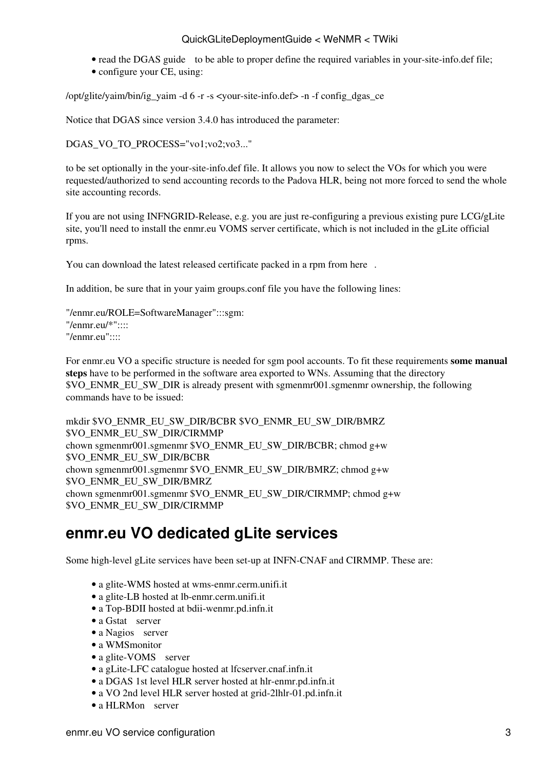### QuickGLiteDeploymentGuide < WeNMR < TWiki

- read the [DGAS guide](http://igrelease.forge.cnaf.infn.it/doku.php?id=doc:guides:dgas) to be able to proper define the required variables in your-site-info.def file;
- configure your CE, using:

/opt/glite/yaim/bin/ig\_yaim -d 6 -r -s <your-site-info.def> -n -f config\_dgas\_ce

Notice that DGAS since version 3.4.0 has introduced the parameter:

DGAS\_VO\_TO\_PROCESS="vo1;vo2;vo3..."

to be set optionally in the your-site-info.def file. It allows you now to select the VOs for which you were requested/authorized to send accounting records to the Padova HLR, being not more forced to send the whole site accounting records.

If you are not using INFNGRID-Release, e.g. you are just re-configuring a previous existing pure LCG/gLite site, you'll need to install the enmr.eu VOMS server certificate, which is not included in the gLite official rpms.

You can download the latest released certificate packed in a rpm from [here](http://igi-01.pd.infn.it/mrepo/ig_sl4-i386/RPMS.3_1_0/ig-vomscerts-all-latest.noarch.rpm) .

In addition, be sure that in your yaim groups.conf file you have the following lines:

"/enmr.eu/ROLE=SoftwareManager":::sgm: "/enmr.eu/\*"::::  $"$ /enmr.eu" $...$ 

For enmr.eu VO a specific structure is needed for sgm pool accounts. To fit these requirements **some manual steps** have to be performed in the software area exported to WNs. Assuming that the directory \$VO\_ENMR\_EU\_SW\_DIR is already present with sgmenmr001.sgmenmr ownership, the following commands have to be issued:

mkdir \$VO\_ENMR\_EU\_SW\_DIR/BCBR \$VO\_ENMR\_EU\_SW\_DIR/BMRZ \$VO\_ENMR\_EU\_SW\_DIR/CIRMMP chown sgmenmr001.sgmenmr \$VO\_ENMR\_EU\_SW\_DIR/BCBR; chmod g+w \$VO\_ENMR\_EU\_SW\_DIR/BCBR chown sgmenmr001.sgmenmr \$VO\_ENMR\_EU\_SW\_DIR/BMRZ; chmod g+w \$VO\_ENMR\_EU\_SW\_DIR/BMRZ chown sgmenmr001.sgmenmr \$VO\_ENMR\_EU\_SW\_DIR/CIRMMP; chmod g+w \$VO\_ENMR\_EU\_SW\_DIR/CIRMMP

### <span id="page-3-0"></span>**enmr.eu VO dedicated gLite services**

Some high-level gLite services have been set-up at INFN-CNAF and CIRMMP. These are:

- a glite-WMS hosted at wms-enmr.cerm.unifi.it
- a glite-LB hosted at lb-enmr.cerm.unifi.it
- a Top-BDII hosted at bdii-wenmr.pd.infn.it
- a [Gstat](http://grid-monitor.pd.infn.it:50080/gstat/summary/VO/enmr.eu/) server
- a [Nagios](https://grid-monitor03.pd.infn.it:50080/nagios/) server
- a [WMSmonitor](https://wmsmonitor.pd.infn.it:50080/wmsmon/main/main.php)
- a [glite-VOMS](https://voms2.cnaf.infn.it:8443/voms/enmr.eu/) server
- a gLite-LFC catalogue hosted at lfcserver.cnaf.infn.it
- a DGAS 1st level HLR server hosted at hlr-enmr.pd.infn.it
- a VO 2nd level HLR server hosted at grid-2lhlr-01.pd.infn.it
- a [HLRMon](https://hlrmon-01.pd.infn.it:50080/hlrmon/) server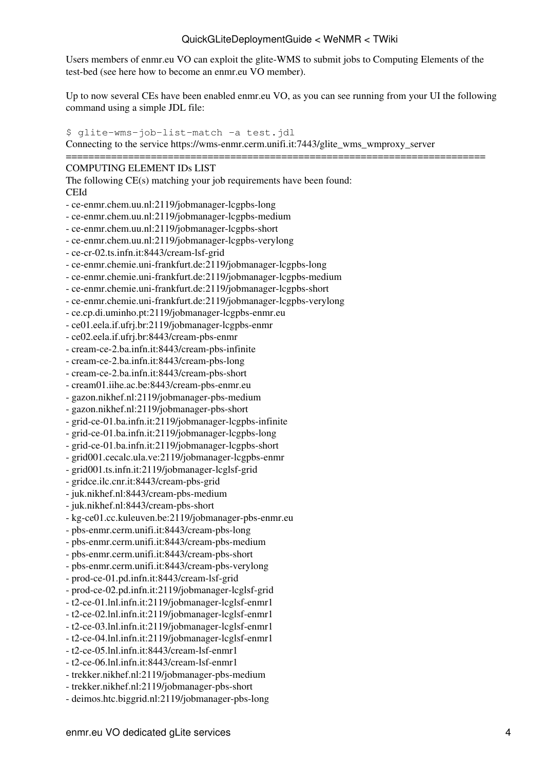#### QuickGLiteDeploymentGuide < WeNMR < TWiki

Users members of enmr.eu VO can exploit the glite-WMS to submit jobs to Computing Elements of the test-bed (see [here](https://wiki-igi.cnaf.infn.it/twiki/bin/view/WeNMR/QuickGliteHowToForWeNMRUsers) how to become an enmr.eu VO member).

Up to now several CEs have been enabled enmr.eu VO, as you can see running from your UI the following command using a simple JDL file:

\$ glite-wms-job-list-match -a [test.jdl](http://www.wenmr.eu/files/files/test.jdl) Connecting to the service [https://wms-enmr.cerm.unifi.it:7443/glite\\_wms\\_wmproxy\\_server](https://wms-enmr.cerm.unifi.it:7443/glite_wms_wmproxy_server)

#### ========================================================================== COMPUTING ELEMENT IDs LIST

The following CE(s) matching your job requirements have been found: CEId

- ce-enmr.chem.uu.nl:2119/jobmanager-lcgpbs-long

- ce-enmr.chem.uu.nl:2119/jobmanager-lcgpbs-medium

- ce-enmr.chem.uu.nl:2119/jobmanager-lcgpbs-short

- ce-enmr.chem.uu.nl:2119/jobmanager-lcgpbs-verylong

- ce-cr-02.ts.infn.it:8443/cream-lsf-grid

- ce-enmr.chemie.uni-frankfurt.de:2119/jobmanager-lcgpbs-long

- ce-enmr.chemie.uni-frankfurt.de:2119/jobmanager-lcgpbs-medium

- ce-enmr.chemie.uni-frankfurt.de:2119/jobmanager-lcgpbs-short

- ce-enmr.chemie.uni-frankfurt.de:2119/jobmanager-lcgpbs-verylong

- ce.cp.di.uminho.pt:2119/jobmanager-lcgpbs-enmr.eu

- ce01.eela.if.ufrj.br:2119/jobmanager-lcgpbs-enmr

- ce02.eela.if.ufrj.br:8443/cream-pbs-enmr

- cream-ce-2.ba.infn.it:8443/cream-pbs-infinite

- cream-ce-2.ba.infn.it:8443/cream-pbs-long

- cream-ce-2.ba.infn.it:8443/cream-pbs-short

- cream01.iihe.ac.be:8443/cream-pbs-enmr.eu

- gazon.nikhef.nl:2119/jobmanager-pbs-medium

- gazon.nikhef.nl:2119/jobmanager-pbs-short

- grid-ce-01.ba.infn.it:2119/jobmanager-lcgpbs-infinite

- grid-ce-01.ba.infn.it:2119/jobmanager-lcgpbs-long

- grid-ce-01.ba.infn.it:2119/jobmanager-lcgpbs-short

- grid001.cecalc.ula.ve:2119/jobmanager-lcgpbs-enmr

- grid001.ts.infn.it:2119/jobmanager-lcglsf-grid

- gridce.ilc.cnr.it:8443/cream-pbs-grid

- juk.nikhef.nl:8443/cream-pbs-medium

- juk.nikhef.nl:8443/cream-pbs-short

- kg-ce01.cc.kuleuven.be:2119/jobmanager-pbs-enmr.eu

- pbs-enmr.cerm.unifi.it:8443/cream-pbs-long

- pbs-enmr.cerm.unifi.it:8443/cream-pbs-medium

- pbs-enmr.cerm.unifi.it:8443/cream-pbs-short

- pbs-enmr.cerm.unifi.it:8443/cream-pbs-verylong

- prod-ce-01.pd.infn.it:8443/cream-lsf-grid

- prod-ce-02.pd.infn.it:2119/jobmanager-lcglsf-grid

- t2-ce-01.lnl.infn.it:2119/jobmanager-lcglsf-enmr1

- t2-ce-02.lnl.infn.it:2119/jobmanager-lcglsf-enmr1

- t2-ce-03.lnl.infn.it:2119/jobmanager-lcglsf-enmr1

- t2-ce-04.lnl.infn.it:2119/jobmanager-lcglsf-enmr1

- t2-ce-05.lnl.infn.it:8443/cream-lsf-enmr1

- t2-ce-06.lnl.infn.it:8443/cream-lsf-enmr1

- trekker.nikhef.nl:2119/jobmanager-pbs-medium

- trekker.nikhef.nl:2119/jobmanager-pbs-short

- deimos.htc.biggrid.nl:2119/jobmanager-pbs-long